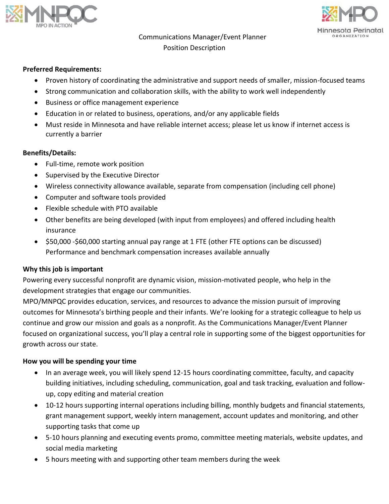



# Communications Manager/Event Planner Position Description

#### **Preferred Requirements:**

- Proven history of coordinating the administrative and support needs of smaller, mission-focused teams
- Strong communication and collaboration skills, with the ability to work well independently
- Business or office management experience
- Education in or related to business, operations, and/or any applicable fields
- Must reside in Minnesota and have reliable internet access; please let us know if internet access is currently a barrier

#### **Benefits/Details:**

- Full-time, remote work position
- Supervised by the Executive Director
- Wireless connectivity allowance available, separate from compensation (including cell phone)
- Computer and software tools provided
- Flexible schedule with PTO available
- Other benefits are being developed (with input from employees) and offered including health insurance
- \$50,000 -\$60,000 starting annual pay range at 1 FTE (other FTE options can be discussed) Performance and benchmark compensation increases available annually

#### **Why this job is important**

Powering every successful nonprofit are dynamic vision, mission-motivated people, who help in the development strategies that engage our communities.

MPO/MNPQC provides education, services, and resources to advance the mission pursuit of improving outcomes for Minnesota's birthing people and their infants. We're looking for a strategic colleague to help us continue and grow our mission and goals as a nonprofit. As the Communications Manager/Event Planner focused on organizational success, you'll play a central role in supporting some of the biggest opportunities for growth across our state.

#### **How you will be spending your time**

- In an average week, you will likely spend 12-15 hours coordinating committee, faculty, and capacity building initiatives, including scheduling, communication, goal and task tracking, evaluation and followup, copy editing and material creation
- 10-12 hours supporting internal operations including billing, monthly budgets and financial statements, grant management support, weekly intern management, account updates and monitoring, and other supporting tasks that come up
- 5-10 hours planning and executing events promo, committee meeting materials, website updates, and social media marketing
- 5 hours meeting with and supporting other team members during the week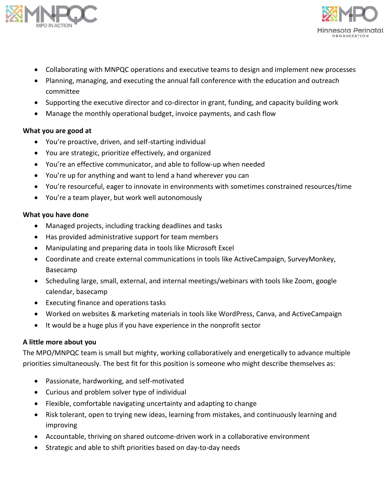



- Collaborating with MNPQC operations and executive teams to design and implement new processes
- Planning, managing, and executing the annual fall conference with the education and outreach committee
- Supporting the executive director and co-director in grant, funding, and capacity building work
- Manage the monthly operational budget, invoice payments, and cash flow

## **What you are good at**

- You're proactive, driven, and self-starting individual
- You are strategic, prioritize effectively, and organized
- You're an effective communicator, and able to follow-up when needed
- You're up for anything and want to lend a hand wherever you can
- You're resourceful, eager to innovate in environments with sometimes constrained resources/time
- You're a team player, but work well autonomously

## **What you have done**

- Managed projects, including tracking deadlines and tasks
- Has provided administrative support for team members
- Manipulating and preparing data in tools like Microsoft Excel
- Coordinate and create external communications in tools like ActiveCampaign, SurveyMonkey, Basecamp
- Scheduling large, small, external, and internal meetings/webinars with tools like Zoom, google calendar, basecamp
- Executing finance and operations tasks
- Worked on websites & marketing materials in tools like WordPress, Canva, and ActiveCampaign
- It would be a huge plus if you have experience in the nonprofit sector

## **A little more about you**

The MPO/MNPQC team is small but mighty, working collaboratively and energetically to advance multiple priorities simultaneously. The best fit for this position is someone who might describe themselves as:

- Passionate, hardworking, and self-motivated
- Curious and problem solver type of individual
- Flexible, comfortable navigating uncertainty and adapting to change
- Risk tolerant, open to trying new ideas, learning from mistakes, and continuously learning and improving
- Accountable, thriving on shared outcome-driven work in a collaborative environment
- Strategic and able to shift priorities based on day-to-day needs